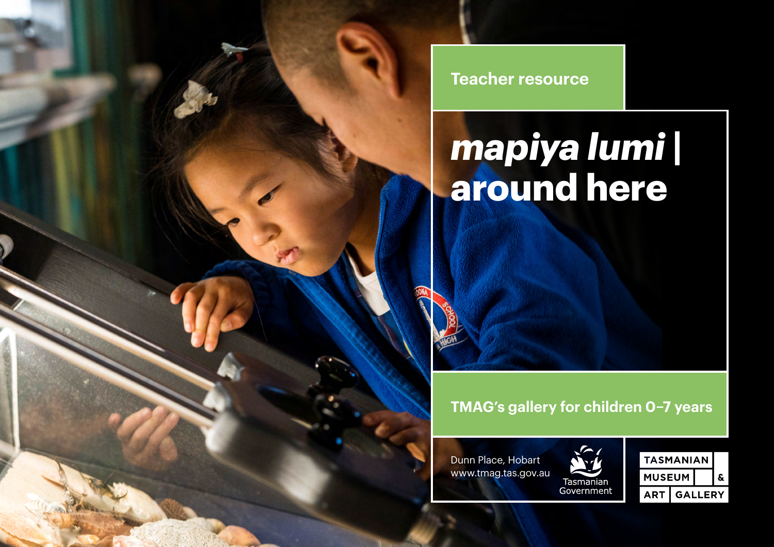**Teacher resource**

# *mapiya lumi* **| around here**

# **TMAG's gallery for children 0–7 years**





| <b>TASMANIAN</b> |                |  |  |
|------------------|----------------|--|--|
| <b>MUSEUM</b>    |                |  |  |
| <b>ART</b>       | <b>GALLERY</b> |  |  |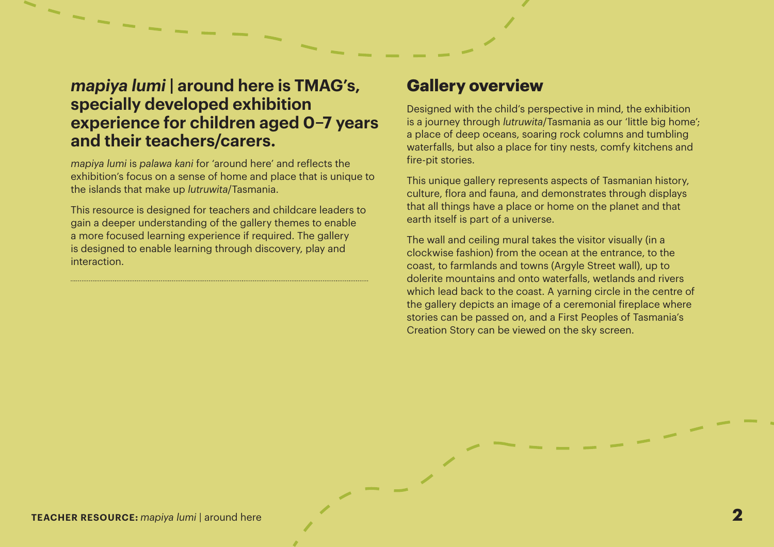# *mapiya lumi* **| around here is TMAG's, specially developed exhibition experience for children aged 0–7 years and their teachers/carers.**

 $7 - - - -$ 

*mapiya lumi* is *palawa kani* for 'around here' and reflects the exhibition's focus on a sense of home and place that is unique to the islands that make up *lutruwita*/Tasmania.

This resource is designed for teachers and childcare leaders to gain a deeper understanding of the gallery themes to enable a more focused learning experience if required. The gallery is designed to enable learning through discovery, play and interaction.

### **Gallery overview**

Designed with the child's perspective in mind, the exhibition is a journey through *lutruwita*/Tasmania as our 'little big home'; a place of deep oceans, soaring rock columns and tumbling waterfalls, but also a place for tiny nests, comfy kitchens and fire-pit stories.

This unique gallery represents aspects of Tasmanian history, culture, flora and fauna, and demonstrates through displays that all things have a place or home on the planet and that earth itself is part of a universe.

The wall and ceiling mural takes the visitor visually (in a clockwise fashion) from the ocean at the entrance, to the coast, to farmlands and towns (Argyle Street wall), up to dolerite mountains and onto waterfalls, wetlands and rivers which lead back to the coast. A yarning circle in the centre of the gallery depicts an image of a ceremonial fireplace where stories can be passed on, and a First Peoples of Tasmania's Creation Story can be viewed on the sky screen.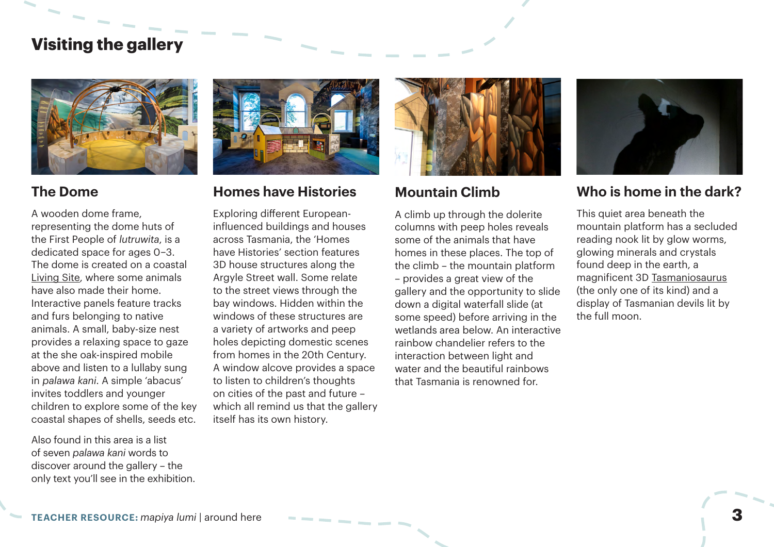# **Visiting the gallery**



#### **The Dome**

A wooden dome frame, representing the dome huts of the First People of *lutruwita*, is a dedicated space for ages 0–3. The dome is created on a coastal [Living Site,](https://www.aboriginalheritage.tas.gov.au/cultural-heritage) where some animals have also made their home. Interactive panels feature tracks and furs belonging to native animals. A small, baby-size nest provides a relaxing space to gaze at the she oak-inspired mobile above and listen to a lullaby sung in *palawa kani*. A simple 'abacus' invites toddlers and younger children to explore some of the key coastal shapes of shells, seeds etc.

Also found in this area is a list of seven *palawa kani* words to discover around the gallery – the only text you'll see in the exhibition.



#### **Homes have Histories**

Exploring different Europeaninfluenced buildings and houses across Tasmania, the 'Homes have Histories' section features 3D house structures along the Argyle Street wall. Some relate to the street views through the bay windows. Hidden within the windows of these structures are a variety of artworks and peep holes depicting domestic scenes from homes in the 20th Century. A window alcove provides a space to listen to children's thoughts on cities of the past and future – which all remind us that the gallery itself has its own history.



#### **Mountain Climb**

A climb up through the dolerite columns with peep holes reveals some of the animals that have homes in these places. The top of the climb – the mountain platform – provides a great view of the gallery and the opportunity to slide down a digital waterfall slide (at some speed) before arriving in the wetlands area below. An interactive rainbow chandelier refers to the interaction between light and water and the beautiful rainbows that Tasmania is renowned for.



#### **Who is home in the dark?**

This quiet area beneath the mountain platform has a secluded reading nook lit by glow worms, glowing minerals and crystals found deep in the earth, a magnificent 3D [Tasmaniosaurus](https://en.wikipedia.org/wiki/Tasmaniosaurus)  (the only one of its kind) and a display of Tasmanian devils lit by the full moon.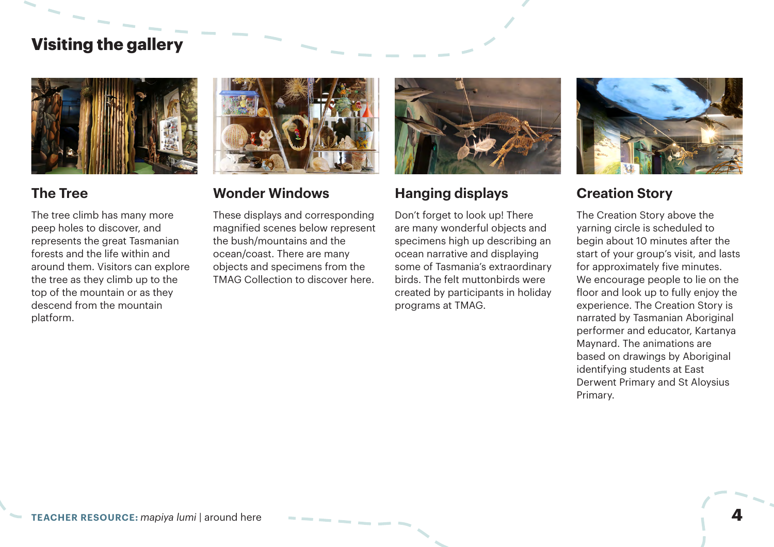# **Visiting the gallery**



#### **The Tree**

The tree climb has many more peep holes to discover, and represents the great Tasmanian forests and the life within and around them. Visitors can explore the tree as they climb up to the top of the mountain or as they descend from the mountain platform.



#### **Wonder Windows**

These displays and corresponding magnified scenes below represent the bush/mountains and the ocean/coast. There are many objects and specimens from the TMAG Collection to discover here.



#### **Hanging displays**

Don't forget to look up! There are many wonderful objects and specimens high up describing an ocean narrative and displaying some of Tasmania's extraordinary birds. The felt muttonbirds were created by participants in holiday programs at TMAG.



#### **Creation Story**

The Creation Story above the yarning circle is scheduled to begin about 10 minutes after the start of your group's visit, and lasts for approximately five minutes. We encourage people to lie on the floor and look up to fully enjoy the experience. The Creation Story is narrated by Tasmanian Aboriginal performer and educator, Kartanya Maynard. The animations are based on drawings by Aboriginal identifying students at East Derwent Primary and St Aloysius Primary.